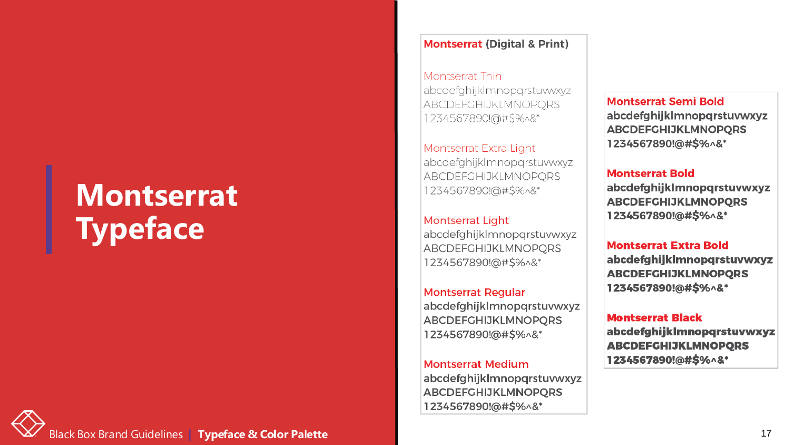### **Montserrat Typeface**



#### **Montserrat (Digital & Print)**

Montserrat Thin abcdefghijklmnopgrstuwwyz ABCDEFGHIJKLMNOPORS 1234567890!@#\$%^&\*

Montserrat Extra Light abcdefghijklmnopgrstuvwxyz ABCDEFGHIJKLMNOPORS 1234567890!@#\$%^&\*

Montserrat Light abcdefghijklmnopgrstuvwxyz ABCDEFGHIJKLMNOPORS 1234567890!@#\$%^&\*

**Montserrat Regular** abcdefghijklmnopgrstuvwxyz **ABCDEFGHIJKLMNOPORS** 1234567890!@#\$%^&\*

**Montserrat Medium** abcdefghijklmnopqrstuvwxyz **ABCDEFGHIJKLMNOPQRS** 1234567890!@#\$%^&\*

**Montserrat Semi Bold** abcdefghijklmnopqrstuvwxyz **ABCDEFGHIJKLMNOPORS** 1234567890!@#\$%^&\*

**Montserrat Bold** 

abcdefghijklmnopqrstuvwxyz **ABCDEFGHIJKLMNOPQRS** 1234567890!@#\$%^&\*

#### **Montserrat Extra Bold**

abcdefghijklmnopqrstuvwxyz **ABCDEFGHIJKLMNOPQRS** 1234567890!@#\$%^&\*

#### **Montserrat Black**

abcdefghijklmnopqrstuvwxyz **ABCDEFGHIJKLMNOPQRS** 1234567890!@#\$%^&\*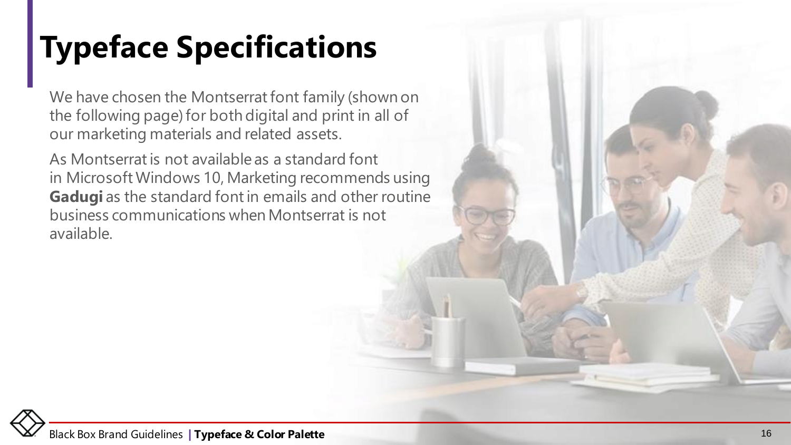## **Typeface Specifications**

We have chosen the Montserrat font family (shown on the following page) for both digital and print in all of our marketing materials and related assets.

As Montserrat is not available as a standard font in Microsoft Windows 10, Marketing recommends using Gadugi as the standard font in emails and other routine business communications when Montserrat is not available.

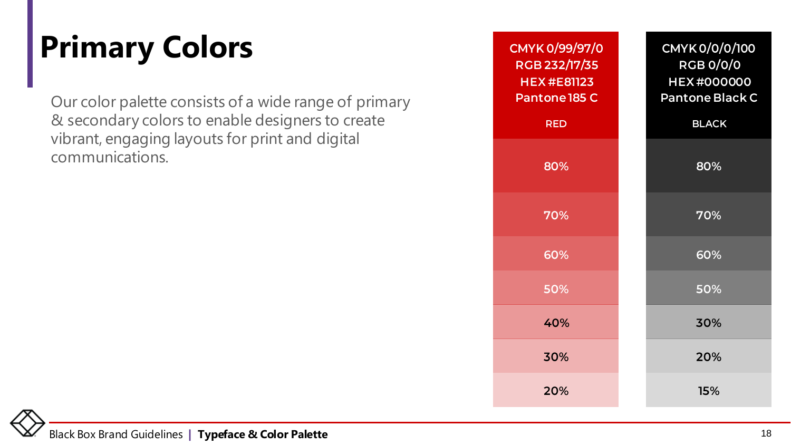# **Primary Colors**

Our color palette consists of a wide range of primary & secondary colors to enable designers to create vibrant, engaging layouts for print and digital communications.

| CMYK 0/99/97/0<br>RGB 232/17/35<br><b>HEX#E81123</b><br>Pantone 185 C | CMYK 0/0/0/100<br><b>RGB 0/0/0</b><br><b>HEX#000000</b><br>Pantone Black C |
|-----------------------------------------------------------------------|----------------------------------------------------------------------------|
| <b>RED</b>                                                            | <b>BLACK</b>                                                               |
| 80%                                                                   | 80%                                                                        |
| 70%                                                                   | 70%                                                                        |
| 60%                                                                   | 60%                                                                        |
| 50%                                                                   | 50%                                                                        |
| 40%                                                                   | 30%                                                                        |
| 30%                                                                   | 20%                                                                        |
| 20%                                                                   | 15%                                                                        |

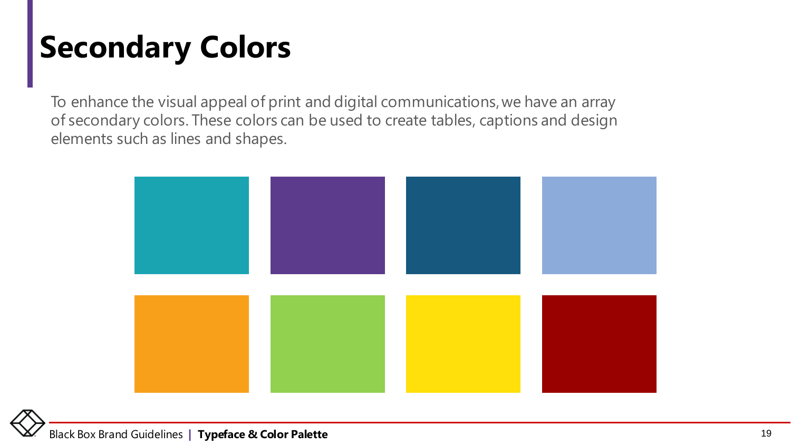### **Secondary Colors**

To enhance the visual appeal of print and digital communications, we have an array of secondary colors. These colors can be used to create tables, captions and design elements such as lines and shapes.